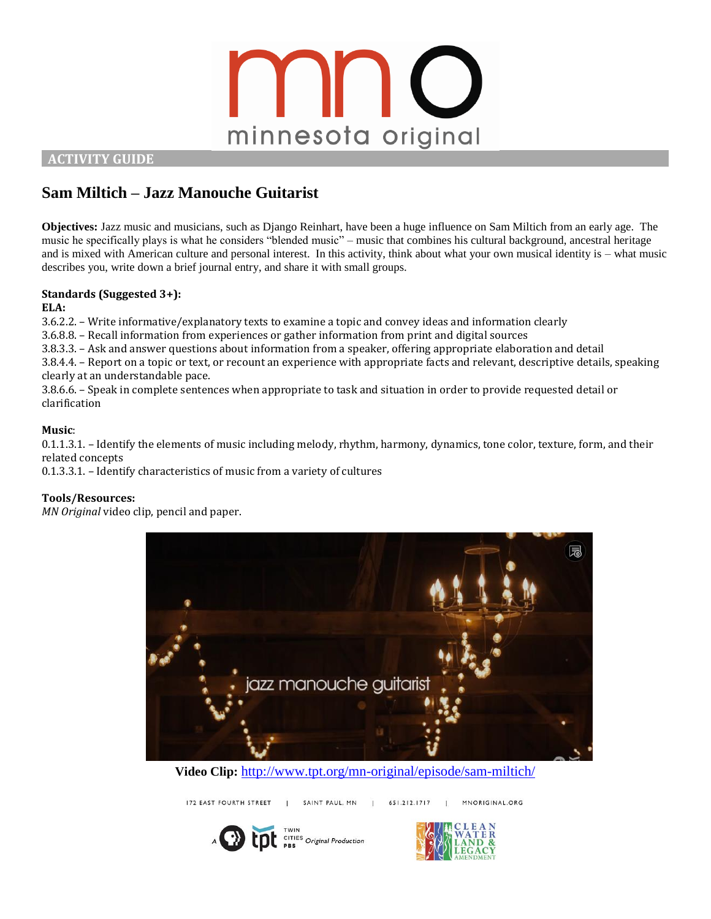

 **ACTIVITY GUIDE** 

# **Sam Miltich – Jazz Manouche Guitarist**

**Objectives:** Jazz music and musicians, such as Django Reinhart, have been a huge influence on Sam Miltich from an early age. The music he specifically plays is what he considers "blended music" – music that combines his cultural background, ancestral heritage and is mixed with American culture and personal interest. In this activity, think about what your own musical identity is – what music describes you, write down a brief journal entry, and share it with small groups.

# **Standards (Suggested 3+):**

**ELA:**

3.6.2.2. – Write informative/explanatory texts to examine a topic and convey ideas and information clearly

3.6.8.8. – Recall information from experiences or gather information from print and digital sources

3.8.3.3. – Ask and answer questions about information from a speaker, offering appropriate elaboration and detail

3.8.4.4. – Report on a topic or text, or recount an experience with appropriate facts and relevant, descriptive details, speaking clearly at an understandable pace.

3.8.6.6. – Speak in complete sentences when appropriate to task and situation in order to provide requested detail or clarification

# **Music**:

0.1.1.3.1. – Identify the elements of music including melody, rhythm, harmony, dynamics, tone color, texture, form, and their related concepts

0.1.3.3.1. – Identify characteristics of music from a variety of cultures

### **Tools/Resources:**

*MN Original* video clip, pencil and paper.



**Video Clip:** <http://www.tpt.org/mn-original/episode/sam-miltich/>

MNORIGINAL.ORG

172 EAST FOURTH STREET 651.212.1717 SAINT PAUL, MN | CITIES Original Production